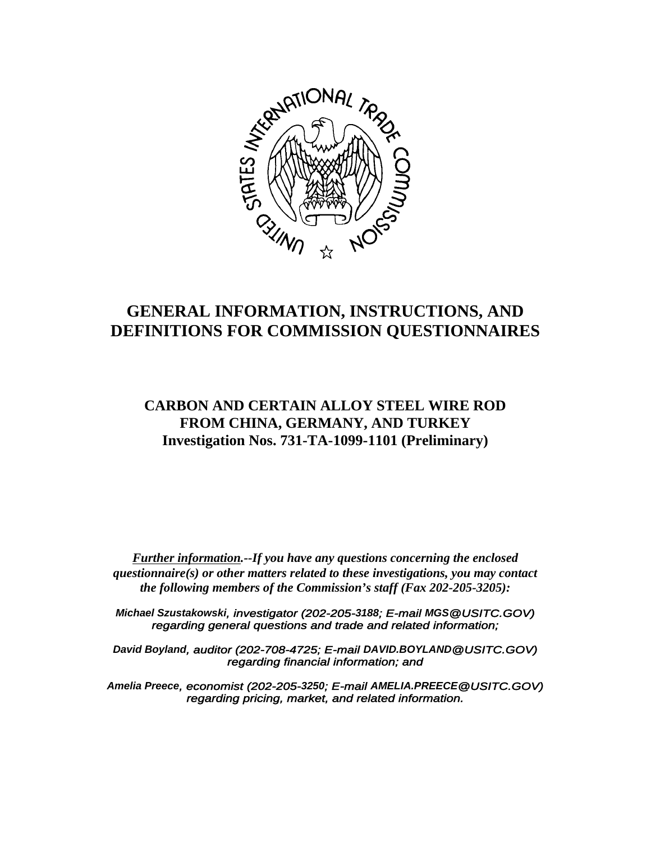

# **GENERAL INFORMATION, INSTRUCTIONS, AND DEFINITIONS FOR COMMISSION QUESTIONNAIRES**

## **CARBON AND CERTAIN ALLOY STEEL WIRE ROD FROM CHINA, GERMANY, AND TURKEY Investigation Nos. 731-TA-1099-1101 (Preliminary)**

*Further information.--If you have any questions concerning the enclosed questionnaire(s) or other matters related to these investigations, you may contact the following members of the Commission's staff (Fax 202-205-3205):*

*Michael Szustakowski, investigator (202-205-3188; E-mail MGS@USITC.GOV) regarding general questions and trade and related information;*

*David Boyland, auditor (202-708-4725; E-mail DAVID.BOYLAND@USITC.GOV) regarding financial information; and*

*Amelia Preece, economist (202-205-3250; E-mail AMELIA.PREECE@USITC.GOV) regarding pricing, market, and related information.*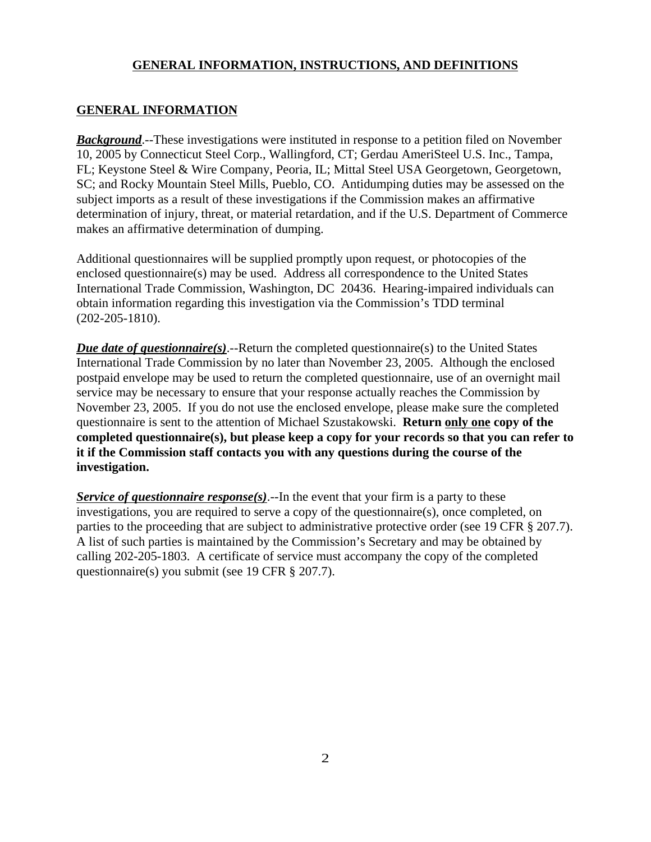#### **GENERAL INFORMATION**

*Background*.--These investigations were instituted in response to a petition filed on November 10, 2005 by Connecticut Steel Corp., Wallingford, CT; Gerdau AmeriSteel U.S. Inc., Tampa, FL; Keystone Steel & Wire Company, Peoria, IL; Mittal Steel USA Georgetown, Georgetown, SC; and Rocky Mountain Steel Mills, Pueblo, CO. Antidumping duties may be assessed on the subject imports as a result of these investigations if the Commission makes an affirmative determination of injury, threat, or material retardation, and if the U.S. Department of Commerce makes an affirmative determination of dumping.

Additional questionnaires will be supplied promptly upon request, or photocopies of the enclosed questionnaire(s) may be used. Address all correspondence to the United States International Trade Commission, Washington, DC 20436. Hearing-impaired individuals can obtain information regarding this investigation via the Commission's TDD terminal (202-205-1810).

*Due date of questionnaire(s)*.--Return the completed questionnaire(s) to the United States International Trade Commission by no later than November 23, 2005. Although the enclosed postpaid envelope may be used to return the completed questionnaire, use of an overnight mail service may be necessary to ensure that your response actually reaches the Commission by November 23, 2005. If you do not use the enclosed envelope, please make sure the completed questionnaire is sent to the attention of Michael Szustakowski. **Return only one copy of the completed questionnaire(s), but please keep a copy for your records so that you can refer to it if the Commission staff contacts you with any questions during the course of the investigation.**

*Service of questionnaire response(s)*.--In the event that your firm is a party to these investigations, you are required to serve a copy of the questionnaire(s), once completed, on parties to the proceeding that are subject to administrative protective order (see 19 CFR § 207.7). A list of such parties is maintained by the Commission's Secretary and may be obtained by calling 202-205-1803. A certificate of service must accompany the copy of the completed questionnaire(s) you submit (see 19 CFR § 207.7).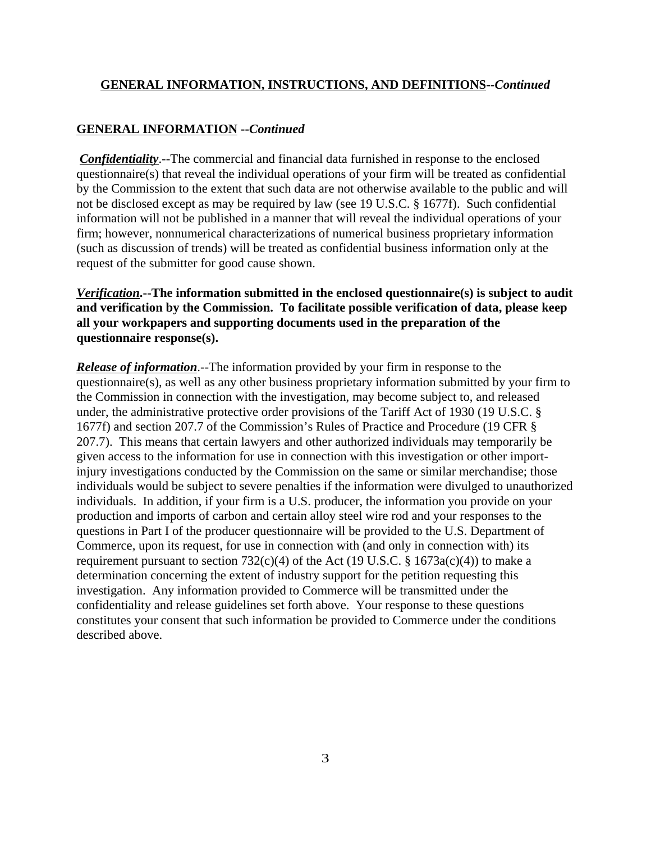#### **GENERAL INFORMATION --***Continued*

*Confidentiality*.--The commercial and financial data furnished in response to the enclosed questionnaire(s) that reveal the individual operations of your firm will be treated as confidential by the Commission to the extent that such data are not otherwise available to the public and will not be disclosed except as may be required by law (see 19 U.S.C. § 1677f). Such confidential information will not be published in a manner that will reveal the individual operations of your firm; however, nonnumerical characterizations of numerical business proprietary information (such as discussion of trends) will be treated as confidential business information only at the request of the submitter for good cause shown.

## *Verification***.--The information submitted in the enclosed questionnaire(s) is subject to audit and verification by the Commission. To facilitate possible verification of data, please keep all your workpapers and supporting documents used in the preparation of the questionnaire response(s).**

*Release of information*.--The information provided by your firm in response to the questionnaire(s), as well as any other business proprietary information submitted by your firm to the Commission in connection with the investigation, may become subject to, and released under, the administrative protective order provisions of the Tariff Act of 1930 (19 U.S.C. § 1677f) and section 207.7 of the Commission's Rules of Practice and Procedure (19 CFR § 207.7). This means that certain lawyers and other authorized individuals may temporarily be given access to the information for use in connection with this investigation or other importinjury investigations conducted by the Commission on the same or similar merchandise; those individuals would be subject to severe penalties if the information were divulged to unauthorized individuals. In addition, if your firm is a U.S. producer, the information you provide on your production and imports of carbon and certain alloy steel wire rod and your responses to the questions in Part I of the producer questionnaire will be provided to the U.S. Department of Commerce, upon its request, for use in connection with (and only in connection with) its requirement pursuant to section  $732(c)(4)$  of the Act (19 U.S.C. § 1673a(c)(4)) to make a determination concerning the extent of industry support for the petition requesting this investigation. Any information provided to Commerce will be transmitted under the confidentiality and release guidelines set forth above. Your response to these questions constitutes your consent that such information be provided to Commerce under the conditions described above.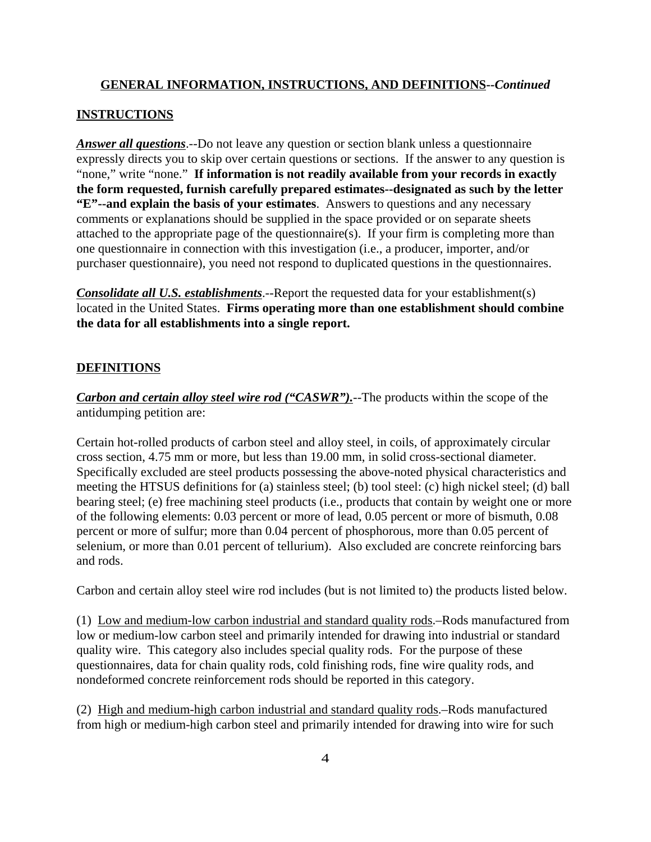## **INSTRUCTIONS**

*Answer all questions*.--Do not leave any question or section blank unless a questionnaire expressly directs you to skip over certain questions or sections. If the answer to any question is "none," write "none." **If information is not readily available from your records in exactly the form requested, furnish carefully prepared estimates--designated as such by the letter "E"--and explain the basis of your estimates**. Answers to questions and any necessary comments or explanations should be supplied in the space provided or on separate sheets attached to the appropriate page of the questionnaire(s). If your firm is completing more than one questionnaire in connection with this investigation (i.e., a producer, importer, and/or purchaser questionnaire), you need not respond to duplicated questions in the questionnaires.

*Consolidate all U.S. establishments*.--Report the requested data for your establishment(s) located in the United States. **Firms operating more than one establishment should combine the data for all establishments into a single report.**

## **DEFINITIONS**

*Carbon and certain alloy steel wire rod ("CASWR")*.--The products within the scope of the antidumping petition are:

Certain hot-rolled products of carbon steel and alloy steel, in coils, of approximately circular cross section, 4.75 mm or more, but less than 19.00 mm, in solid cross-sectional diameter. Specifically excluded are steel products possessing the above-noted physical characteristics and meeting the HTSUS definitions for (a) stainless steel; (b) tool steel: (c) high nickel steel; (d) ball bearing steel; (e) free machining steel products (i.e., products that contain by weight one or more of the following elements: 0.03 percent or more of lead, 0.05 percent or more of bismuth, 0.08 percent or more of sulfur; more than 0.04 percent of phosphorous, more than 0.05 percent of selenium, or more than 0.01 percent of tellurium). Also excluded are concrete reinforcing bars and rods.

Carbon and certain alloy steel wire rod includes (but is not limited to) the products listed below.

(1) Low and medium-low carbon industrial and standard quality rods.–Rods manufactured from low or medium-low carbon steel and primarily intended for drawing into industrial or standard quality wire. This category also includes special quality rods. For the purpose of these questionnaires, data for chain quality rods, cold finishing rods, fine wire quality rods, and nondeformed concrete reinforcement rods should be reported in this category.

(2) High and medium-high carbon industrial and standard quality rods.–Rods manufactured from high or medium-high carbon steel and primarily intended for drawing into wire for such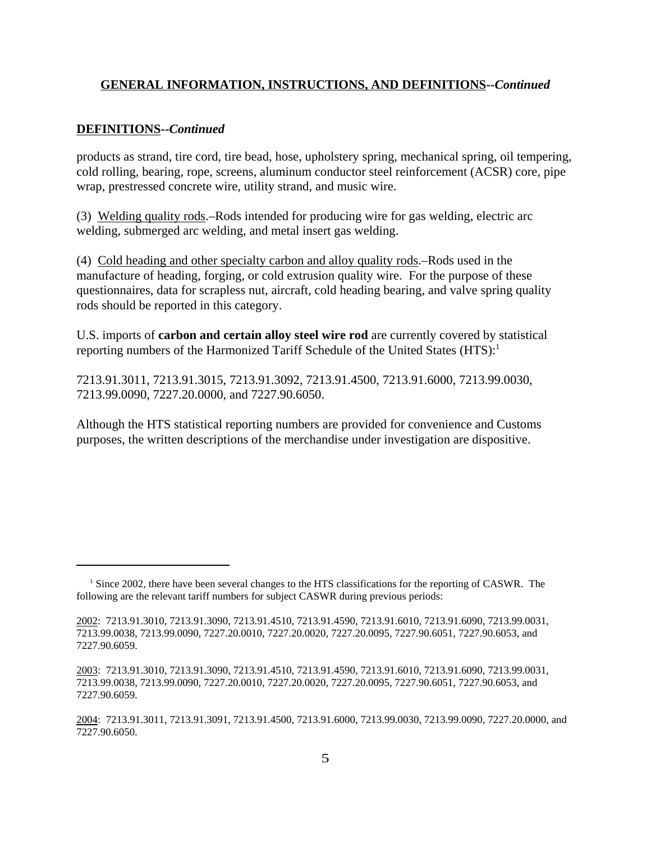#### **DEFINITIONS--***Continued*

products as strand, tire cord, tire bead, hose, upholstery spring, mechanical spring, oil tempering, cold rolling, bearing, rope, screens, aluminum conductor steel reinforcement (ACSR) core, pipe wrap, prestressed concrete wire, utility strand, and music wire.

(3) Welding quality rods.–Rods intended for producing wire for gas welding, electric arc welding, submerged arc welding, and metal insert gas welding.

(4) Cold heading and other specialty carbon and alloy quality rods.–Rods used in the manufacture of heading, forging, or cold extrusion quality wire. For the purpose of these questionnaires, data for scrapless nut, aircraft, cold heading bearing, and valve spring quality rods should be reported in this category.

U.S. imports of **carbon and certain alloy steel wire rod** are currently covered by statistical reporting numbers of the Harmonized Tariff Schedule of the United States (HTS):<sup>1</sup>

7213.91.3011, 7213.91.3015, 7213.91.3092, 7213.91.4500, 7213.91.6000, 7213.99.0030, 7213.99.0090, 7227.20.0000, and 7227.90.6050.

Although the HTS statistical reporting numbers are provided for convenience and Customs purposes, the written descriptions of the merchandise under investigation are dispositive.

<sup>&</sup>lt;sup>1</sup> Since 2002, there have been several changes to the HTS classifications for the reporting of CASWR. The following are the relevant tariff numbers for subject CASWR during previous periods:

<sup>2002: 7213.91.3010, 7213.91.3090, 7213.91.4510, 7213.91.4590, 7213.91.6010, 7213.91.6090, 7213.99.0031,</sup> 7213.99.0038, 7213.99.0090, 7227.20.0010, 7227.20.0020, 7227.20.0095, 7227.90.6051, 7227.90.6053, and 7227.90.6059.

<sup>2003: 7213.91.3010, 7213.91.3090, 7213.91.4510, 7213.91.4590, 7213.91.6010, 7213.91.6090, 7213.99.0031,</sup> 7213.99.0038, 7213.99.0090, 7227.20.0010, 7227.20.0020, 7227.20.0095, 7227.90.6051, 7227.90.6053, and 7227.90.6059.

<sup>2004: 7213.91.3011, 7213.91.3091, 7213.91.4500, 7213.91.6000, 7213.99.0030, 7213.99.0090, 7227.20.0000,</sup> and 7227.90.6050.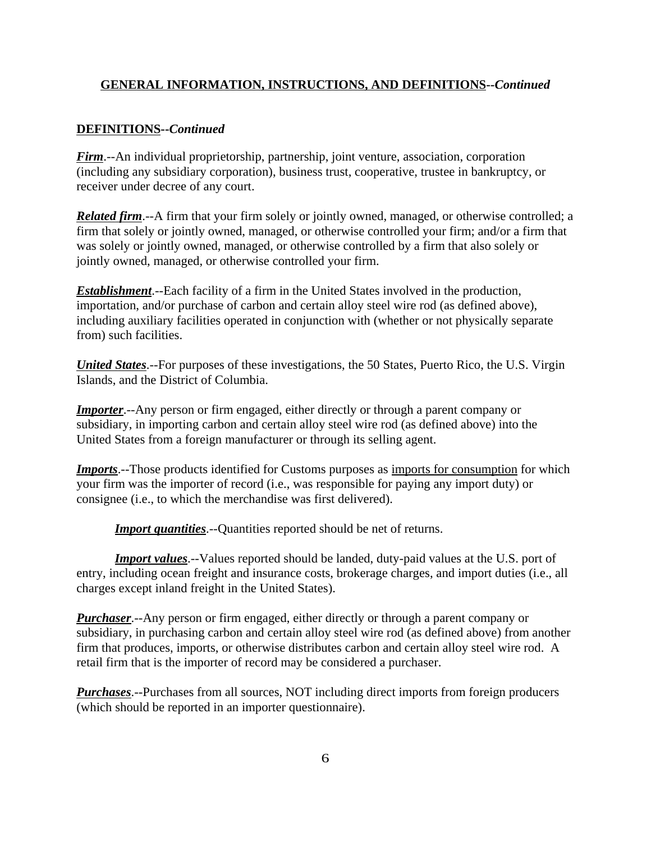#### **DEFINITIONS--***Continued*

*Firm*.--An individual proprietorship, partnership, joint venture, association, corporation (including any subsidiary corporation), business trust, cooperative, trustee in bankruptcy, or receiver under decree of any court.

*Related firm*.--A firm that your firm solely or jointly owned, managed, or otherwise controlled; a firm that solely or jointly owned, managed, or otherwise controlled your firm; and/or a firm that was solely or jointly owned, managed, or otherwise controlled by a firm that also solely or jointly owned, managed, or otherwise controlled your firm.

*Establishment*.--Each facility of a firm in the United States involved in the production, importation, and/or purchase of carbon and certain alloy steel wire rod (as defined above), including auxiliary facilities operated in conjunction with (whether or not physically separate from) such facilities.

*United States*.--For purposes of these investigations, the 50 States, Puerto Rico, the U.S. Virgin Islands, and the District of Columbia.

*Importer*.--Any person or firm engaged, either directly or through a parent company or subsidiary, in importing carbon and certain alloy steel wire rod (as defined above) into the United States from a foreign manufacturer or through its selling agent.

*Imports*.--Those products identified for Customs purposes as imports for consumption for which your firm was the importer of record (i.e., was responsible for paying any import duty) or consignee (i.e., to which the merchandise was first delivered).

*Import quantities*.--Quantities reported should be net of returns.

*Import values*.--Values reported should be landed, duty-paid values at the U.S. port of entry, including ocean freight and insurance costs, brokerage charges, and import duties (i.e., all charges except inland freight in the United States).

*Purchaser*.--Any person or firm engaged, either directly or through a parent company or subsidiary, in purchasing carbon and certain alloy steel wire rod (as defined above) from another firm that produces, imports, or otherwise distributes carbon and certain alloy steel wire rod. A retail firm that is the importer of record may be considered a purchaser.

*Purchases*.--Purchases from all sources, NOT including direct imports from foreign producers (which should be reported in an importer questionnaire).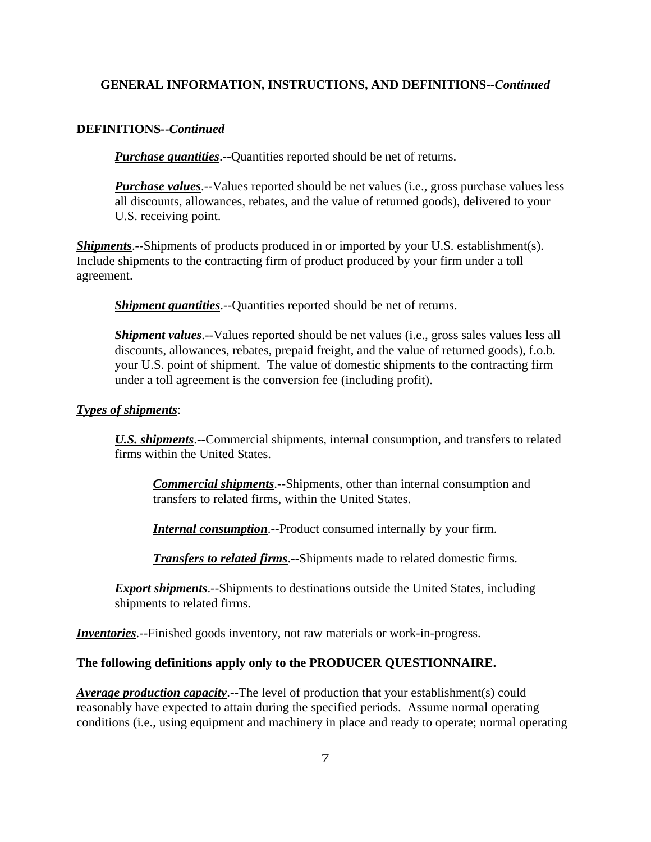#### **DEFINITIONS--***Continued*

*Purchase quantities*.--Quantities reported should be net of returns.

*Purchase values*.--Values reported should be net values (i.e., gross purchase values less all discounts, allowances, rebates, and the value of returned goods), delivered to your U.S. receiving point.

*Shipments*.--Shipments of products produced in or imported by your U.S. establishment(s). Include shipments to the contracting firm of product produced by your firm under a toll agreement.

*Shipment quantities*.--Quantities reported should be net of returns.

*Shipment values*.--Values reported should be net values (*i.e.*, gross sales values less all discounts, allowances, rebates, prepaid freight, and the value of returned goods), f.o.b. your U.S. point of shipment. The value of domestic shipments to the contracting firm under a toll agreement is the conversion fee (including profit).

#### *Types of shipments*:

*U.S. shipments*.--Commercial shipments, internal consumption, and transfers to related firms within the United States.

*Commercial shipments*.--Shipments, other than internal consumption and transfers to related firms, within the United States.

*Internal consumption*.--Product consumed internally by your firm.

*Transfers to related firms*.--Shipments made to related domestic firms.

**Export shipments**.--Shipments to destinations outside the United States, including shipments to related firms.

*Inventories*.--Finished goods inventory, not raw materials or work-in-progress.

#### **The following definitions apply only to the PRODUCER QUESTIONNAIRE.**

*Average production capacity*.--The level of production that your establishment(s) could reasonably have expected to attain during the specified periods. Assume normal operating conditions (i.e., using equipment and machinery in place and ready to operate; normal operating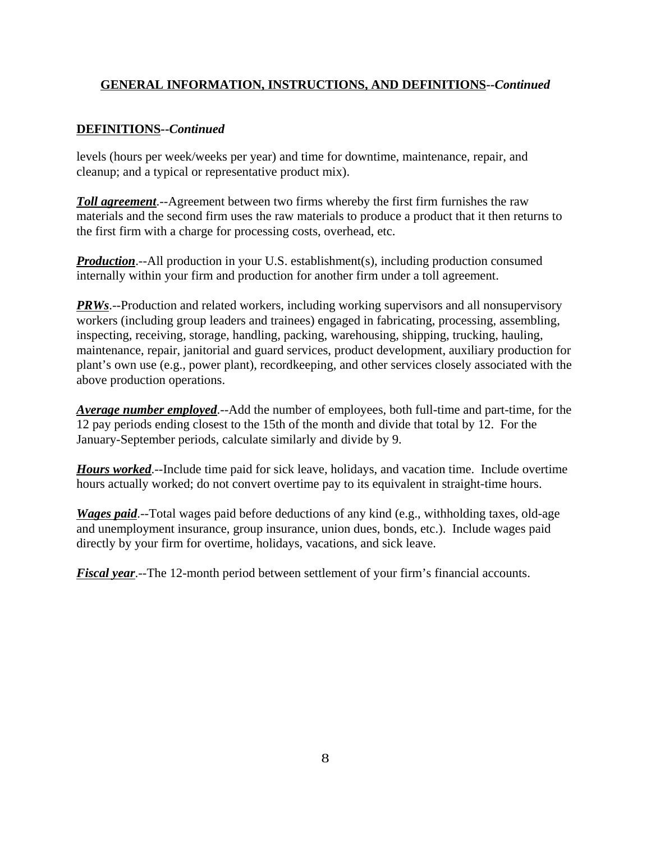## **DEFINITIONS--***Continued*

levels (hours per week/weeks per year) and time for downtime, maintenance, repair, and cleanup; and a typical or representative product mix).

*Toll agreement*.--Agreement between two firms whereby the first firm furnishes the raw materials and the second firm uses the raw materials to produce a product that it then returns to the first firm with a charge for processing costs, overhead, etc.

*Production*.--All production in your U.S. establishment(s), including production consumed internally within your firm and production for another firm under a toll agreement.

*PRWs*.--Production and related workers, including working supervisors and all nonsupervisory workers (including group leaders and trainees) engaged in fabricating, processing, assembling, inspecting, receiving, storage, handling, packing, warehousing, shipping, trucking, hauling, maintenance, repair, janitorial and guard services, product development, auxiliary production for plant's own use (e.g., power plant), recordkeeping, and other services closely associated with the above production operations.

*Average number employed*.--Add the number of employees, both full-time and part-time, for the 12 pay periods ending closest to the 15th of the month and divide that total by 12. For the January-September periods, calculate similarly and divide by 9.

*Hours worked*.--Include time paid for sick leave, holidays, and vacation time. Include overtime hours actually worked; do not convert overtime pay to its equivalent in straight-time hours.

*Wages paid*.--Total wages paid before deductions of any kind (e.g., withholding taxes, old-age and unemployment insurance, group insurance, union dues, bonds, etc.). Include wages paid directly by your firm for overtime, holidays, vacations, and sick leave.

*Fiscal year*.--The 12-month period between settlement of your firm's financial accounts.